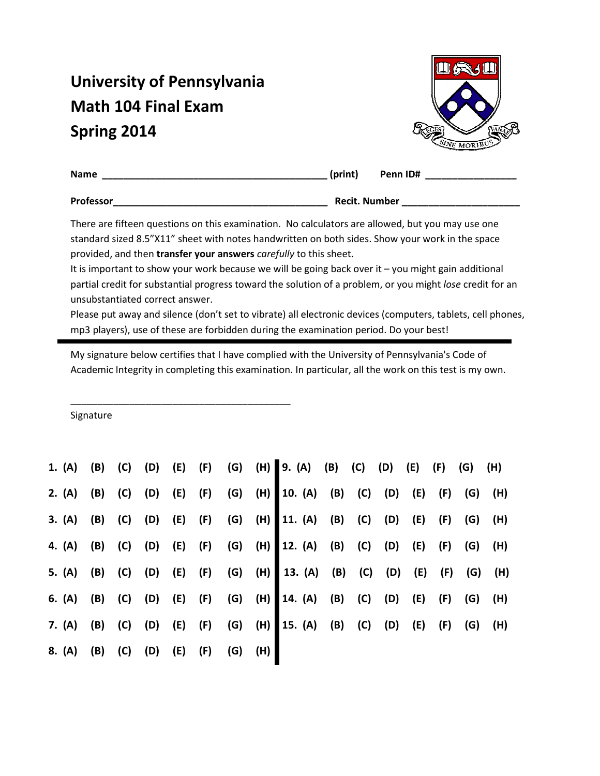## University of Pennsylvania Math 104 Final Exam Spring 2014

\_\_\_\_\_\_\_\_\_\_\_\_\_\_\_\_\_\_\_\_\_\_\_\_\_\_\_\_\_\_\_\_\_\_\_\_\_\_\_\_\_



| Name      | (print)              | Penn ID# |
|-----------|----------------------|----------|
| Professor | <b>Recit. Number</b> |          |

There are fifteen questions on this examination. No calculators are allowed, but you may use one standard sized 8.5"X11" sheet with notes handwritten on both sides. Show your work in the space provided, and then transfer your answers carefully to this sheet.

It is important to show your work because we will be going back over it – you might gain additional partial credit for substantial progress toward the solution of a problem, or you might lose credit for an unsubstantiated correct answer.

Please put away and silence (don't set to vibrate) all electronic devices (computers, tablets, cell phones, mp3 players), use of these are forbidden during the examination period. Do your best!

My signature below certifies that I have complied with the University of Pennsylvania's Code of Academic Integrity in completing this examination. In particular, all the work on this test is my own.

Signature

|                                    |  |  |  | 1. (A) (B) (C) (D) (E) (F) (G) (H) 9. (A) (B) (C) (D) (E) (F) (G) (H)  |  |  |  |  |
|------------------------------------|--|--|--|------------------------------------------------------------------------|--|--|--|--|
|                                    |  |  |  | 2. (A) (B) (C) (D) (E) (F) (G) (H) 10. (A) (B) (C) (D) (E) (F) (G) (H) |  |  |  |  |
|                                    |  |  |  | 3. (A) (B) (C) (D) (E) (F) (G) (H) 11. (A) (B) (C) (D) (E) (F) (G) (H) |  |  |  |  |
|                                    |  |  |  | 4. (A) (B) (C) (D) (E) (F) (G) (H) 12. (A) (B) (C) (D) (E) (F) (G) (H) |  |  |  |  |
|                                    |  |  |  | 5. (A) (B) (C) (D) (E) (F) (G) (H) 13. (A) (B) (C) (D) (E) (F) (G) (H) |  |  |  |  |
|                                    |  |  |  | 6. (A) (B) (C) (D) (E) (F) (G) (H) 14. (A) (B) (C) (D) (E) (F) (G) (H) |  |  |  |  |
|                                    |  |  |  | 7. (A) (B) (C) (D) (E) (F) (G) (H) 15. (A) (B) (C) (D) (E) (F) (G) (H) |  |  |  |  |
| 8. (A) (B) (C) (D) (E) (F) (G) (H) |  |  |  |                                                                        |  |  |  |  |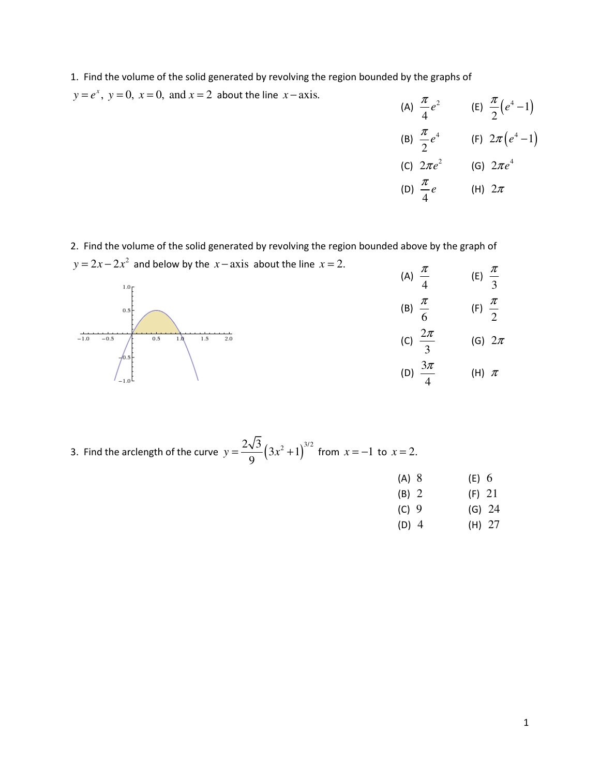1. Find the volume of the solid generated by revolving the region bounded by the graphs of

 $y = e^x$ ,  $y = 0$ ,  $x = 0$ , and  $x = 2$  about the line  $x - axis$ .

(A)  $\frac{\pi}{4}e^2$ 4  $\frac{\pi}{4}e^2$  (E)  $\frac{\pi}{2}(e^4-1)$ 2  $\frac{\pi}{2}(e^4-1)$ (B)  $\frac{\pi}{2}e^4$ 2  $\frac{\pi}{2}e^4$  (F)  $2\pi(e^4-1)$ (C)  $2\pi e^2$  (G)  $2\pi e^4$ (D) 4  $\frac{\pi}{4}e$  (H)  $2\pi$ 

2. Find the volume of the solid generated by revolving the region bounded above by the graph of  $y = 2x - 2x^2$  and below by the *x* − axis about the line *x* = 2.



3. Find the arclength of the curve  $y = \frac{2\sqrt{3}}{0} (3x^2 + 1)^{3/2}$ 9  $y = \frac{283}{9} (3x^2 + 1)^{3/2}$  from  $x = -1$  to  $x = 2$ .

- (A) 8 (E) 6
- (B) 2 (F) 21
- (C) 9 (G) 24
- (D) 4 (H) 27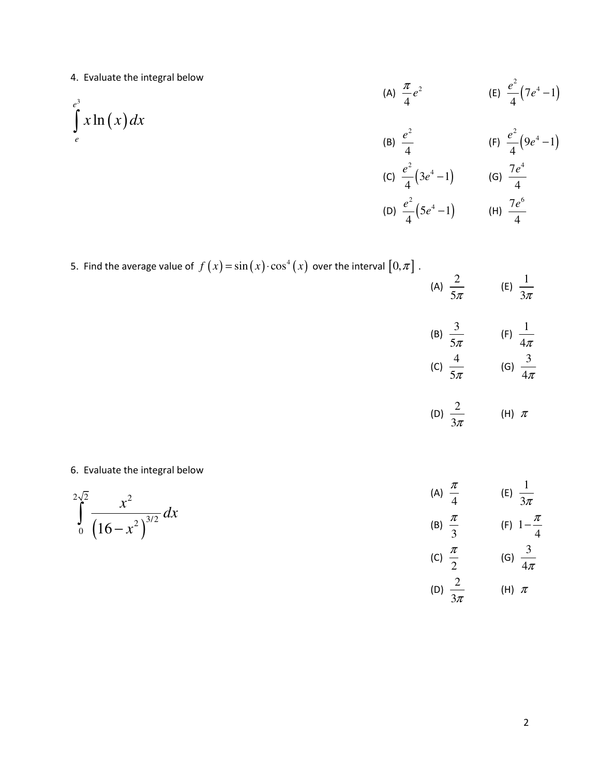4. Evaluate the integral below

4. Evaluate the integral below  
\n(a) 
$$
\frac{\pi}{4}e^2
$$
 \n(b)  $\frac{e^2}{4}(7e^4-1)$   
\n(b)  $\frac{e^2}{4}$  \n(c)  $\frac{e^2}{4}(3e^4-1)$  \n(d)  $\frac{7e^4}{4}$   
\n(e)  $\frac{e^2}{4}(9e^4-1)$   
\n(f)  $\frac{e^2}{4}(9e^4-1)$   
\n(g)  $\frac{7e^4}{4}$   
\n(h)  $\frac{7e^6}{4}$ 

5. Find the average value of 
$$
f(x) = sin(x) \cdot cos^4(x)
$$
 over the interval  $[0, \pi]$ .

(A) 
$$
\frac{2}{5\pi}
$$
 (E)  $\frac{1}{3\pi}$ 

(B) 
$$
\frac{3}{5\pi}
$$
 (F)  $\frac{1}{4\pi}$   
(C)  $\frac{4}{5\pi}$  (G)  $\frac{3}{4\pi}$ 

(D) 
$$
\frac{2}{3\pi}
$$
 (H)  $\pi$ 

## 6. Evaluate the integral below

$$
\int_{0}^{2\sqrt{2}} \frac{x^2}{(16-x^2)^{3/2}} dx
$$
\n(A)  $\frac{\pi}{4}$  \t\t (E)  $\frac{1}{3\pi}$   
\n(B)  $\frac{\pi}{3}$  \t\t (F)  $1-\frac{\pi}{4}$   
\n(C)  $\frac{\pi}{2}$  \t\t (G)  $\frac{3}{4}$ 

$$
\frac{\pi}{2} \qquad \qquad \text{(G)} \ \frac{\pi}{4\pi}
$$

(D) 
$$
\frac{2}{3\pi}
$$
 (H)  $\pi$ 

4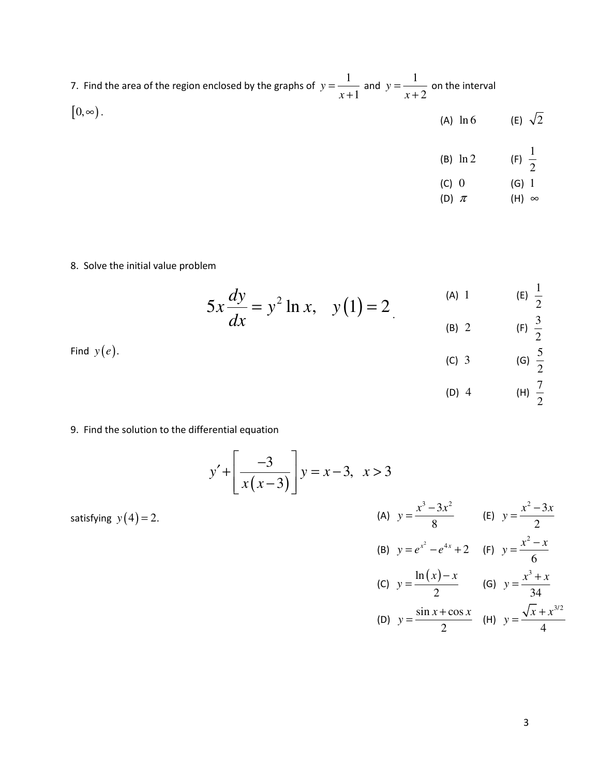| 7. Find the area of the region enclosed by the graphs of $y = \frac{1}{x+1}$ and $y = \frac{1}{x+2}$ on the interval |                               |                           |
|----------------------------------------------------------------------------------------------------------------------|-------------------------------|---------------------------|
| $[0,\infty)$ .                                                                                                       | (A) $\ln 6$ (E) $\sqrt{2}$    |                           |
|                                                                                                                      | (B) $\ln 2$ (F) $\frac{1}{2}$ |                           |
|                                                                                                                      | $(C)$ 0<br>(D) $\pi$          | $(G)$ 1<br>$(H)$ $\infty$ |

## 8. Solve the initial value problem

$$
5x\frac{dy}{dx} = y^2 \ln x, \quad y(1) = 2
$$
 (A) 1 (E)  $\frac{1}{2}$   
 (B) 2 (E)  $\frac{1}{2}$ 

|               | $\sqrt{-1}$           | $\mathbf{v}$ $\mathbf{v}$ |
|---------------|-----------------------|---------------------------|
| Find $y(e)$ . | $(C)$ 3               | (G) $\frac{5}{2}$         |
|               | (D)<br>$\overline{4}$ | (H) $\frac{7}{7}$         |

9. Find the solution to the differential equation

$$
y' + \left[\frac{-3}{x(x-3)}\right]y = x-3, \quad x > 3
$$

satisfying 
$$
y(4) = 2
$$
.  
\n(A)  $y = \frac{x^3 - 3x^2}{8}$  (E)  $y = \frac{x^2 - 3x}{2}$   
\n(B)  $y = e^{x^2} - e^{4x} + 2$  (F)  $y = \frac{x^2 - x}{6}$   
\n(C)  $y = \frac{\ln(x) - x}{2}$  (G)  $y = \frac{x^3 + x}{34}$   
\n(D)  $y = \frac{\sin x + \cos x}{2}$  (H)  $y = \frac{\sqrt{x} + x^{3/2}}{4}$ 

2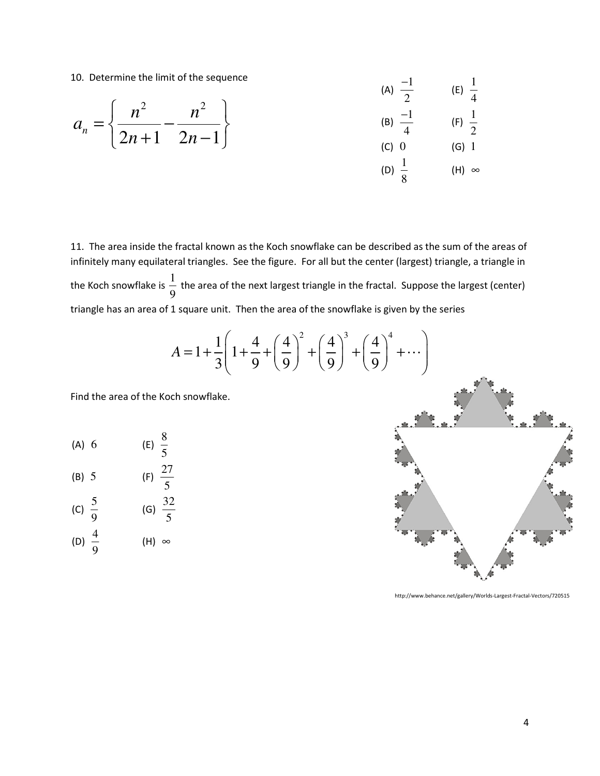10. Determine the limit of the sequence

10. Determine the limit of the sequence  
\n
$$
a_n = \begin{cases}\n n^2 & n^2 \\
\hline\n 2n + 1 & 2n - 1\n\end{cases}
$$
\n
$$
\begin{array}{c}\n \text{(A)} & \frac{-1}{2} \\
\text{(B)} & \frac{-1}{4} \\
\text{(C)} & 0 \\
\text{(D)} & \frac{1}{2}\n\end{array}
$$
\n
$$
\begin{array}{c}\n \text{(F)} & \frac{1}{2} \\
\text{(C)} & 0 \\
\text{(D)} & \frac{1}{2}\n\end{array}
$$
\n
$$
\begin{array}{c}\n \text{(D)} & \frac{1}{2} \\
\text{(E)} & \frac{1}{4}\n\end{array}
$$

11. The area inside the fractal known as the Koch snowflake can be described as the sum of the areas of infinitely many equilateral triangles. See the figure. For all but the center (largest) triangle, a triangle in the Koch snowflake is  $\frac{1}{2}$ 9 the area of the next largest triangle in the fractal. Suppose the largest (center) triangle has an area of 1 square unit. Then the area of the snowflake is given by the series

 $\overline{8}$ 

$$
A = 1 + \frac{1}{3} \left( 1 + \frac{4}{9} + \left( \frac{4}{9} \right)^2 + \left( \frac{4}{9} \right)^3 + \left( \frac{4}{9} \right)^4 + \cdots \right)
$$

Find the area of the Koch snowflake.

(A) 6 (E) 
$$
\frac{8}{5}
$$

(B) 5 (F) 
$$
\frac{27}{5}
$$
  
(C)  $\frac{5}{9}$  (G)  $\frac{32}{5}$ 

(D) 
$$
\frac{4}{9}
$$
 (H)  $\infty$ 



http://www.behance.net/gallery/Worlds-Largest-Fractal-Vectors/720515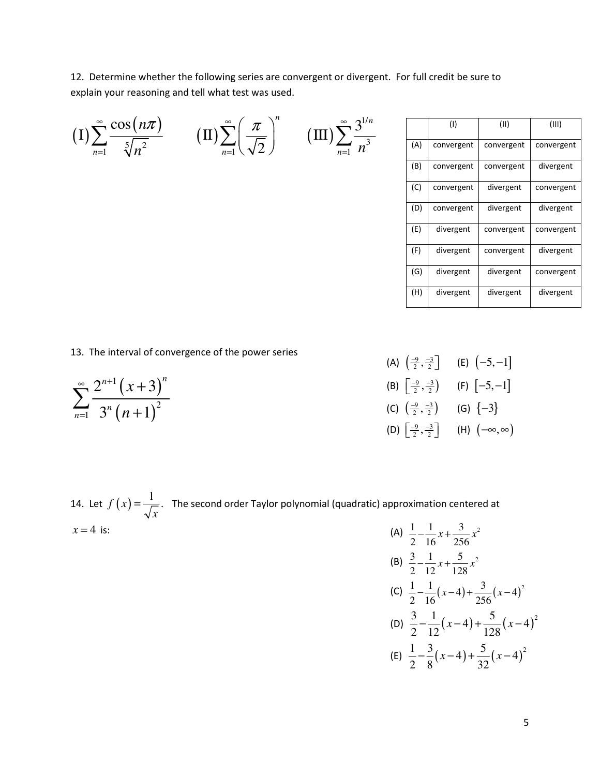12. Determine whether the following series are convergent or divergent. For full credit be sure to explain your reasoning and tell what test was used.

| $(1)\sum_{n=1}^{\infty}\frac{\cos(n\pi)}{\sqrt[5]{n^2}}$ | $\textstyle \big(\text{II}\big) \sum_{n=1}^\infty \left(\frac{\pi}{\sqrt{2}}\right)^n$ | $\left( \mathrm{III}\right) \sum_{n=1}^{\infty} \frac{3^{1/n}}{n^3}$ |
|----------------------------------------------------------|----------------------------------------------------------------------------------------|----------------------------------------------------------------------|
|                                                          |                                                                                        |                                                                      |
|                                                          |                                                                                        |                                                                      |
|                                                          |                                                                                        |                                                                      |

|     | (1)        | (11)       | (III)      |
|-----|------------|------------|------------|
| (A) | convergent | convergent | convergent |
| (B) | convergent | convergent | divergent  |
| (C) | convergent | divergent  | convergent |
| (D) | convergent | divergent  | divergent  |
| (E) | divergent  | convergent | convergent |
| (F) | divergent  | convergent | divergent  |
| (G) | divergent  | divergent  | convergent |
| (H) | divergent  | divergent  | divergent  |

13. The interval of convergence of the power series

$$
\sum_{n=1}^{\infty} \frac{2^{n+1} (x+3)^n}{3^n (n+1)^2}
$$

| (A) $\left(\frac{-9}{2}, \frac{-3}{2}\right]$ | (E) $(-5,-1]$           |
|-----------------------------------------------|-------------------------|
| (B) $\left[\frac{-9}{2}, \frac{-3}{2}\right)$ | $(F)$ $[-5, -1]$        |
| (C) $\left(\frac{-9}{2}, \frac{-3}{2}\right)$ | (G) $\{-3\}$            |
| (D) $\left[\frac{-9}{2},\frac{-3}{2}\right]$  | (H) $(-\infty, \infty)$ |

14. Let  $f(x) = \frac{1}{x}$ . *x*  $=\frac{1}{\sqrt{1-\lambda}}$ . The second order Taylor polynomial (quadratic) approximation centered at  $x = 4$  is:  $\begin{array}{ccc} 1 & 1 & 3 \end{array}$ 

(A) 
$$
\frac{1}{2} - \frac{1}{16}x + \frac{3}{256}x^2
$$
  
\n(B)  $\frac{3}{2} - \frac{1}{12}x + \frac{5}{128}x^2$   
\n(C)  $\frac{1}{2} - \frac{1}{16}(x-4) + \frac{3}{256}(x-4)^2$   
\n(D)  $\frac{3}{2} - \frac{1}{12}(x-4) + \frac{5}{128}(x-4)^2$   
\n(E)  $\frac{1}{2} - \frac{3}{8}(x-4) + \frac{5}{32}(x-4)^2$